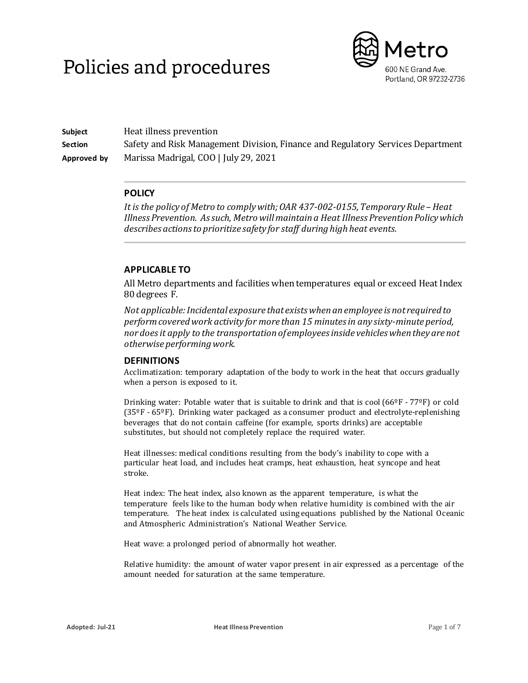# Policies and procedures



**Subject** Heat illness prevention **Section** Safety and Risk Management Division, Finance and Regulatory Services Department **Approved by** Marissa Madrigal, COO | July 29, 2021

## **POLICY**

*It is the policy of Metro to comply with; OAR 437-002-0155, Temporary Rule –Heat Illness Prevention. As such, Metro will maintain a Heat Illness Prevention Policy which describes actions to prioritize safety for staff during high heat events.*

## **APPLICABLE TO**

All Metro departments and facilities when temperatures equal or exceed Heat Index 80 degrees F.

*Not applicable: Incidental exposure that exists when an employee is not required to perform covered work activity for more than 15 minutes in any sixty-minute period, nor does it apply to the transportation of employees inside vehicles when they are not otherwise performing work.*

## **DEFINITIONS**

Acclimatization: temporary adaptation of the body to work in the heat that occurs gradually when a person is exposed to it.

Drinking water: Potable water that is suitable to drink and that is cool (66°F - 77°F) or cold (35ºF - 65ºF). Drinking water packaged as a consumer product and electrolyte-replenishing beverages that do not contain caffeine (for example, sports drinks) are acceptable substitutes, but should not completely replace the required water.

Heat illnesses: medical conditions resulting from the body's inability to cope with a particular heat load, and includes heat cramps, heat exhaustion, heat syncope and heat stroke.

Heat index: The heat index, also known as the apparent temperature, is what the temperature feels like to the human body when relative humidity is combined with the air temperature. The heat index is calculated using equations published by the National Oceanic and Atmospheric Administration's National Weather Service.

Heat wave: a prolonged period of abnormally hot weather.

Relative humidity: the amount of water vapor present in air expressed as a percentage of the amount needed for saturation at the same temperature.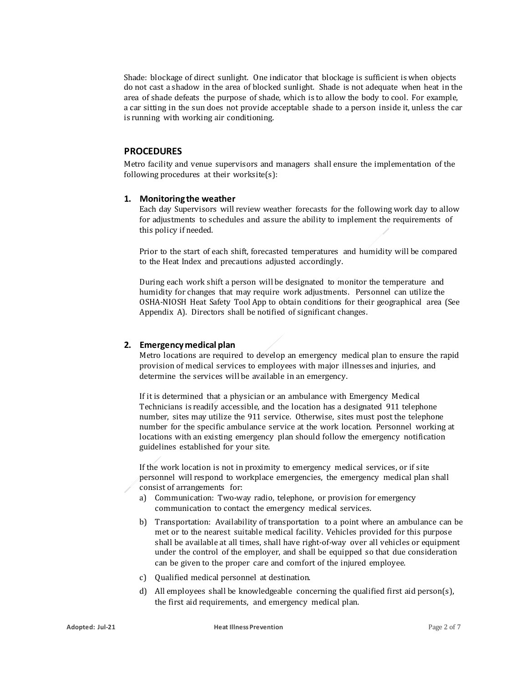Shade: blockage of direct sunlight. One indicator that blockage is sufficient is when objects do not cast a shadow in the area of blocked sunlight. Shade is not adequate when heat in the area of shade defeats the purpose of shade, which is to allow the body to cool. For example, a car sitting in the sun does not provide acceptable shade to a person inside it, unless the car is running with working air conditioning.

### **PROCEDURES**

Metro facility and venue supervisors and managers shall ensure the implementation of the following procedures at their worksite(s):

#### **1. Monitoring the weather**

Each day Supervisors will review weather forecasts for the following work day to allow for adjustments to schedules and assure the ability to implement the requirements of this policy if needed.

Prior to the start of each shift, forecasted temperatures and humidity will be compared to the Heat Index and precautions adjusted accordingly.

During each work shift a person will be designated to monitor the temperature and humidity for changes that may require work adjustments. Personnel can utilize the OSHA-NIOSH Heat Safety Tool App to obtain conditions for their geographical area (See Appendix A). Directors shall be notified of significant changes.

#### **2. Emergency medical plan**

Metro locations are required to develop an emergency medical plan to ensure the rapid provision of medical services to employees with major illnesses and injuries, and determine the services will be available in an emergency.

If it is determined that a physician or an ambulance with Emergency Medical Technicians is readily accessible, and the location has a designated 911 telephone number, sites may utilize the 911 service. Otherwise, sites must post the telephone number for the specific ambulance service at the work location. Personnel working at locations with an existing emergency plan should follow the emergency notification guidelines established for your site.

If the work location is not in proximity to emergency medical services, or if site personnel will respond to workplace emergencies, the emergency medical plan shall consist of arrangements for:

- a) Communication: Two-way radio, telephone, or provision for emergency communication to contact the emergency medical services.
- b) Transportation: Availability of transportation to a point where an ambulance can be met or to the nearest suitable medical facility. Vehicles provided for this purpose shall be available at all times, shall have right-of-way over all vehicles or equipment under the control of the employer, and shall be equipped so that due consideration can be given to the proper care and comfort of the injured employee.
- c) Qualified medical personnel at destination.
- d) All employees shall be knowledgeable concerning the qualified first aid person(s), the first aid requirements, and emergency medical plan.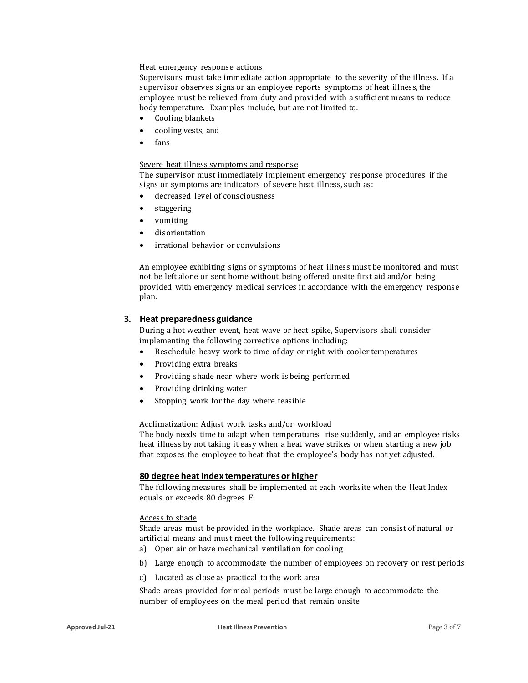#### Heat emergency response actions

Supervisors must take immediate action appropriate to the severity of the illness. If a supervisor observes signs or an employee reports symptoms of heat illness, the employee must be relieved from duty and provided with a sufficient means to reduce body temperature. Examples include, but are not limited to:

- Cooling blankets
- cooling vests, and
- fans

#### Severe heat illness symptoms and response

The supervisor must immediately implement emergency response procedures if the signs or symptoms are indicators of severe heat illness, such as:

- decreased level of consciousness
- staggering
- vomiting
- disorientation
- irrational behavior or convulsions

An employee exhibiting signs or symptoms of heat illness must be monitored and must not be left alone or sent home without being offered onsite first aid and/or being provided with emergency medical services in accordance with the emergency response plan.

#### **3. Heat preparedness guidance**

During a hot weather event, heat wave or heat spike, Supervisors shall consider implementing the following corrective options including:

- Reschedule heavy work to time of day or night with cooler temperatures
- Providing extra breaks
- Providing shade near where work is being performed
- Providing drinking water
- Stopping work for the day where feasible

Acclimatization: Adjust work tasks and/or workload

The body needs time to adapt when temperatures rise suddenly, and an employee risks heat illness by not taking it easy when a heat wave strikes or when starting a new job that exposes the employee to heat that the employee's body has not yet adjusted.

#### **80 degree heat index temperatures or higher**

The following measures shall be implemented at each worksite when the Heat Index equals or exceeds 80 degrees F.

#### Access to shade

Shade areas must be provided in the workplace. Shade areas can consist of natural or artificial means and must meet the following requirements:

- a) Open air or have mechanical ventilation for cooling
- b) Large enough to accommodate the number of employees on recovery or rest periods
- c) Located as close as practical to the work area

Shade areas provided for meal periods must be large enough to accommodate the number of employees on the meal period that remain onsite.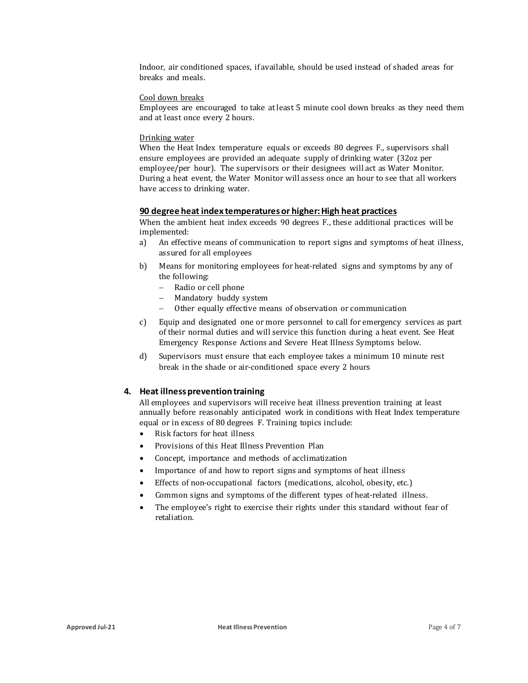Indoor, air conditioned spaces, if available, should be used instead of shaded areas for breaks and meals.

#### Cool down breaks

Employees are encouraged to take at least 5 minute cool down breaks as they need them and at least once every 2 hours.

#### Drinking water

When the Heat Index temperature equals or exceeds 80 degrees F., supervisors shall ensure employees are provided an adequate supply of drinking water (32oz per employee/per hour). The supervisors or their designees will act as Water Monitor. During a heat event, the Water Monitor will assess once an hour to see that all workers have access to drinking water.

#### **90 degree heat index temperatures or higher: High heat practices**

When the ambient heat index exceeds 90 degrees F., these additional practices will be implemented:

- a) An effective means of communication to report signs and symptoms of heat illness, assured for all employees
- b) Means for monitoring employees for heat-related signs and symptoms by any of the following:
	- − Radio or cell phone<br>− Mandatory buddy s
	- Mandatory buddy system
	- Other equally effective means of observation or communication
- c) Equip and designated one or more personnel to call for emergency services as part of their normal duties and will service this function during a heat event. See Heat Emergency Response Actions and Severe Heat Illness Symptoms below.
- d) Supervisors must ensure that each employee takes a minimum 10 minute rest break in the shade or air-conditioned space every 2 hours

#### **4. Heat illness prevention training**

All employees and supervisors will receive heat illness prevention training at least annually before reasonably anticipated work in conditions with Heat Index temperature equal or in excess of 80 degrees F. Training topics include:

- Risk factors for heat illness
- Provisions of this Heat Illness Prevention Plan
- Concept, importance and methods of acclimatization
- Importance of and how to report signs and symptoms of heat illness
- Effects of non-occupational factors (medications, alcohol, obesity, etc.)
- Common signs and symptoms of the different types of heat-related illness.
- The employee's right to exercise their rights under this standard without fear of retaliation.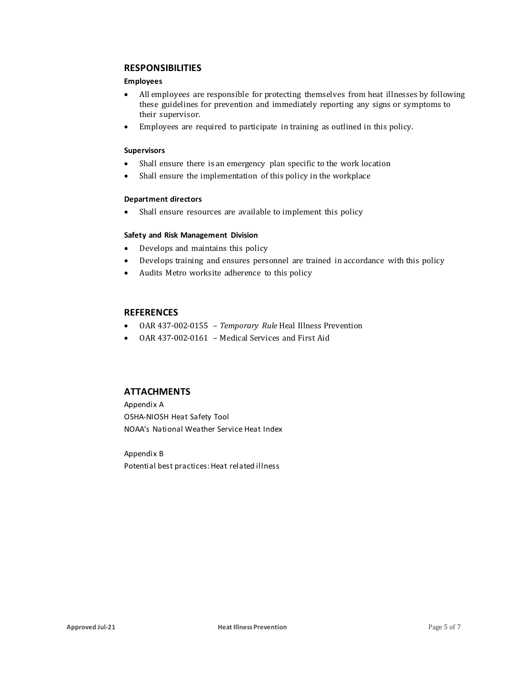## **RESPONSIBILITIES**

#### **Employees**

- All employees are responsible for protecting themselves from heat illnesses by following these guidelines for prevention and immediately reporting any signs or symptoms to their supervisor.
- Employees are required to participate in training as outlined in this policy.

#### **Supervisors**

- Shall ensure there is an emergency plan specific to the work location
- Shall ensure the implementation of this policy in the workplace

#### **Department directors**

• Shall ensure resources are available to implement this policy

#### **Safety and Risk Management Division**

- Develops and maintains this policy
- Develops training and ensures personnel are trained in accordance with this policy
- Audits Metro worksite adherence to this policy

## **REFERENCES**

- OAR 437-002-0155 *Temporary Rule* Heal Illness Prevention
- OAR 437-002-0161 Medical Services and First Aid

## **ATTACHMENTS**

Appendix A OSHA-NIOSH Heat Safety Tool NOAA's National Weather Service Heat Index

Appendix B Potential best practices:Heat related illness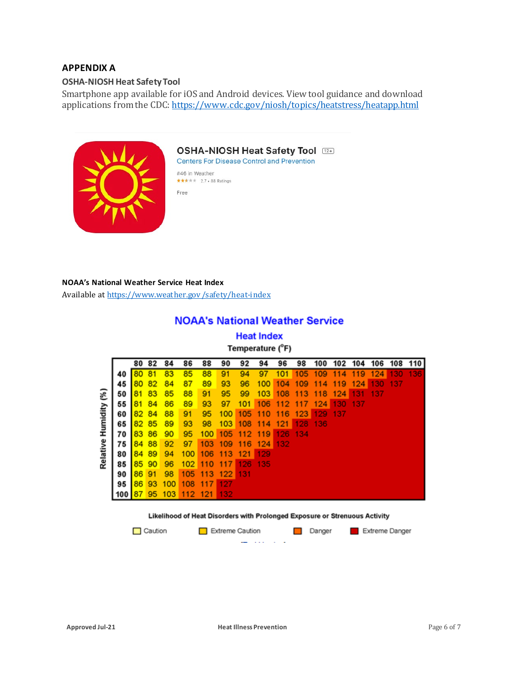## **APPENDIX A**

#### **OSHA-NIOSH Heat Safety Tool**

Smartphone app available for iOS and Android devices. View tool guidance and download applications from the CDC[: https://www.cdc.gov/niosh/topics/heatstress/heatapp.html](https://www.cdc.gov/niosh/topics/heatstress/heatapp.html)



# OSHA-NIOSH Heat Safety Tool

**Centers For Disease Control and Prevention** 

#46 in Weather \*\*\*\*\* 2.7 + 88 Ratings

Free

#### **NOAA's National Weather Service Heat Index**

Available at [https://www.weather.gov /safety/heat-index](https://www.weather.gov/safety/heat-index)

# **NOAA's National Weather Service**

**Heat Index** Temperature (°F)

|                       |     |    | 82 | 84  | 86  | 88  | 90  | 92  | 94  | 96  | 98  | 100     | 102  | 104 | 106 | 108        | 110 |
|-----------------------|-----|----|----|-----|-----|-----|-----|-----|-----|-----|-----|---------|------|-----|-----|------------|-----|
| Relative Humidity (%) |     |    |    | 83  | 85  | 88  | 91  | 94  | 97  | 101 | 105 | 109     | 4    | 119 | 124 | <b>AND</b> | 136 |
|                       | 45  | 80 | 82 | 84  | 87  | 89  | 93  | 96  | 100 | 104 | 109 | 4<br>11 | 119  | 124 | 130 | -137       |     |
|                       | 50  |    | 83 | 85  | 88  | 91  | 95  | 99  | 103 | 108 | 113 | 118     | 124  | 131 | 137 |            |     |
|                       | 55  | 81 | 84 | 86  | 89  | 93  | 97  | 101 | 106 | 112 | 117 | 124     | 130  | 137 |     |            |     |
|                       | 60  | 82 | 84 | 88  | 91  | 95  | 100 | 105 | 110 | 116 | 123 | 129     | -137 |     |     |            |     |
|                       | 65  | 82 | 85 | 89  | 93  | 98  | 103 | 108 | 114 | 121 | 128 | 136     |      |     |     |            |     |
|                       | 70  | 83 | 86 | 90  | 95  | 100 | 105 | 112 | 119 | 126 | 134 |         |      |     |     |            |     |
|                       | 75  | 84 | 88 | 92  | 97  | 103 | 109 | 116 | 124 | 132 |     |         |      |     |     |            |     |
|                       | 80  | 84 | 89 | 94  | 100 | 106 | 113 | 121 | 129 |     |     |         |      |     |     |            |     |
|                       | 85  | 85 | 90 | 96  | 102 | 110 | 117 | 126 | 135 |     |     |         |      |     |     |            |     |
|                       | 90  | 86 | 91 | 98  | 105 | 113 | 122 | 131 |     |     |     |         |      |     |     |            |     |
|                       | 95  | 86 | 93 | 100 |     |     | 127 |     |     |     |     |         |      |     |     |            |     |
|                       | 100 | 87 | 95 | 103 | 112 | 121 | 132 |     |     |     |     |         |      |     |     |            |     |

#### Likelihood of Heat Disorders with Prolonged Exposure or Strenuous Activity

Danger

 $\Box$  Caution

Extreme Caution

- -

Extreme Danger